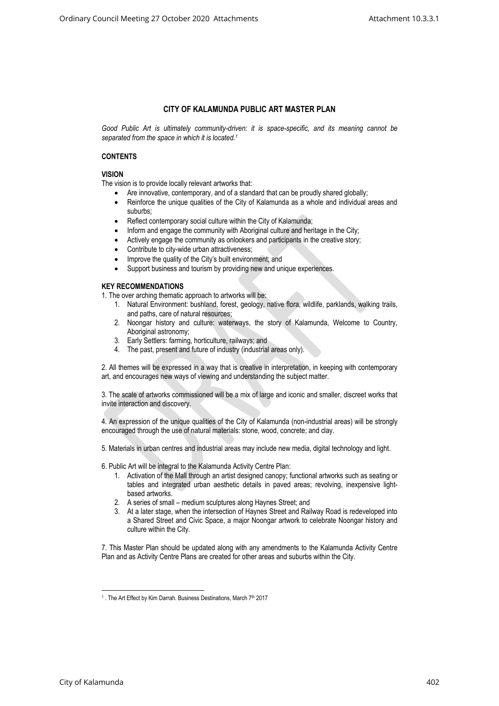## **CITY OF KALAMUNDA PUBLIC ART MASTER PLAN**

*Good Public Art is ultimately community-driven: it is space-specific, and its meaning cannot be separated from the space in which it is located.<sup>1</sup>*

## **CONTENTS**

## **VISION**

The vision is to provide locally relevant artworks that:

- Are innovative, contemporary, and of a standard that can be proudly shared globally;
- Reinforce the unique qualities of the City of Kalamunda as a whole and individual areas and suburbs;
- Reflect contemporary social culture within the City of Kalamunda;
- Inform and engage the community with Aboriginal culture and heritage in the City;
- Actively engage the community as onlookers and participants in the creative story;
- Contribute to city-wide urban attractiveness;
- Improve the quality of the City's built environment; and
- Support business and tourism by providing new and unique experiences.

## **KEY RECOMMENDATIONS**

1. The over arching thematic approach to artworks will be:

- 1. Natural Environment: bushland, forest, geology, native flora, wildlife, parklands, walking trails, and paths, care of natural resources;
- 2. Noongar history and culture: waterways, the story of Kalamunda, Welcome to Country, Aboriginal astronomy;
- 3. Early Settlers: farming, horticulture, railways; and
- 4. The past, present and future of industry (industrial areas only).

2. All themes will be expressed in a way that is creative in interpretation, in keeping with contemporary art, and encourages new ways of viewing and understanding the subject matter.

3. The scale of artworks commissioned will be a mix of large and iconic and smaller, discreet works that invite interaction and discovery.

4. An expression of the unique qualities of the City of Kalamunda (non-industrial areas) will be strongly encouraged through the use of natural materials: stone, wood, concrete; and clay.

5. Materials in urban centres and industrial areas may include new media, digital technology and light.

6. Public Art will be integral to the Kalamunda Activity Centre Plan:

- 1. Activation of the Mall through an artist designed canopy; functional artworks such as seating or tables and integrated urban aesthetic details in paved areas; revolving, inexpensive lightbased artworks.
- 2. A series of small medium sculptures along Haynes Street; and
- 3. At a later stage, when the intersection of Haynes Street and Railway Road is redeveloped into a Shared Street and Civic Space, a major Noongar artwork to celebrate Noongar history and culture within the City.

7. This Master Plan should be updated along with any amendments to the Kalamunda Activity Centre Plan and as Activity Centre Plans are created for other areas and suburbs within the City.

<sup>&</sup>lt;sup>1</sup>. The Art Effect by Kim Darrah. Business Destinations, March 7<sup>th</sup> 2017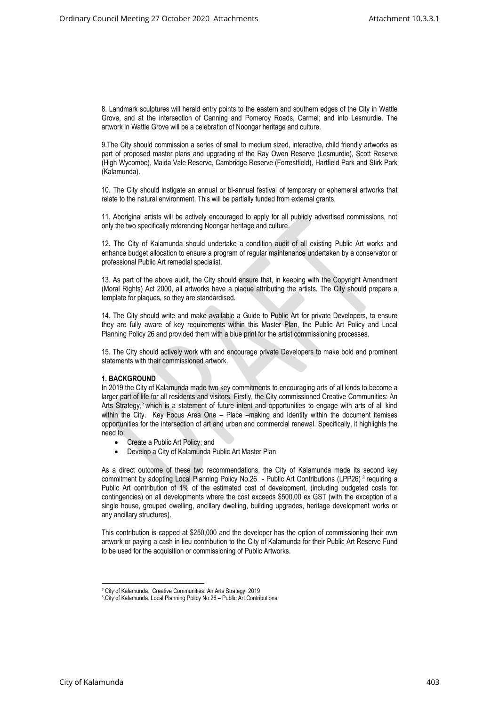8. Landmark sculptures will herald entry points to the eastern and southern edges of the City in Wattle Grove, and at the intersection of Canning and Pomeroy Roads, Carmel; and into Lesmurdie. The artwork in Wattle Grove will be a celebration of Noongar heritage and culture.

9.The City should commission a series of small to medium sized, interactive, child friendly artworks as part of proposed master plans and upgrading of the Ray Owen Reserve (Lesmurdie), Scott Reserve (High Wycombe), Maida Vale Reserve, Cambridge Reserve (Forrestfield), Hartfield Park and Stirk Park (Kalamunda).

10. The City should instigate an annual or bi-annual festival of temporary or ephemeral artworks that relate to the natural environment. This will be partially funded from external grants.

11. Aboriginal artists will be actively encouraged to apply for all publicly advertised commissions, not only the two specifically referencing Noongar heritage and culture.

12. The City of Kalamunda should undertake a condition audit of all existing Public Art works and enhance budget allocation to ensure a program of regular maintenance undertaken by a conservator or professional Public Art remedial specialist.

13. As part of the above audit, the City should ensure that, in keeping with the Copyright Amendment (Moral Rights) Act 2000, all artworks have a plaque attributing the artists. The City should prepare a template for plaques, so they are standardised.

14. The City should write and make available a Guide to Public Art for private Developers, to ensure they are fully aware of key requirements within this Master Plan, the Public Art Policy and Local Planning Policy 26 and provided them with a blue print for the artist commissioning processes.

15. The City should actively work with and encourage private Developers to make bold and prominent statements with their commissioned artwork.

## **1. BACKGROUND**

In 2019 the City of Kalamunda made two key commitments to encouraging arts of all kinds to become a larger part of life for all residents and visitors. Firstly, the City commissioned Creative Communities: An Arts Strategy, <sup>2</sup> which is a statement of future intent and opportunities to engage with arts of all kind within the City. Key Focus Area One – Place –making and Identity within the document itemises opportunities for the intersection of art and urban and commercial renewal. Specifically, it highlights the need to:

- Create a Public Art Policy; and
- Develop a City of Kalamunda Public Art Master Plan.

As a direct outcome of these two recommendations, the City of Kalamunda made its second key commitment by adopting Local Planning Policy No.26 - Public Art Contributions (LPP26)<sup>3</sup> requiring a Public Art contribution of 1% of the estimated cost of development, (including budgeted costs for contingencies) on all developments where the cost exceeds \$500,00 ex GST (with the exception of a single house, grouped dwelling, ancillary dwelling, building upgrades, heritage development works or any ancillary structures).

This contribution is capped at \$250,000 and the developer has the option of commissioning their own artwork or paying a cash in lieu contribution to the City of Kalamunda for their Public Art Reserve Fund to be used for the acquisition or commissioning of Public Artworks.

<sup>2</sup> City of Kalamunda. Creative Communities: An Arts Strategy. 2019

<sup>3</sup> .City of Kalamunda. Local Planning Policy No.26 – Public Art Contributions.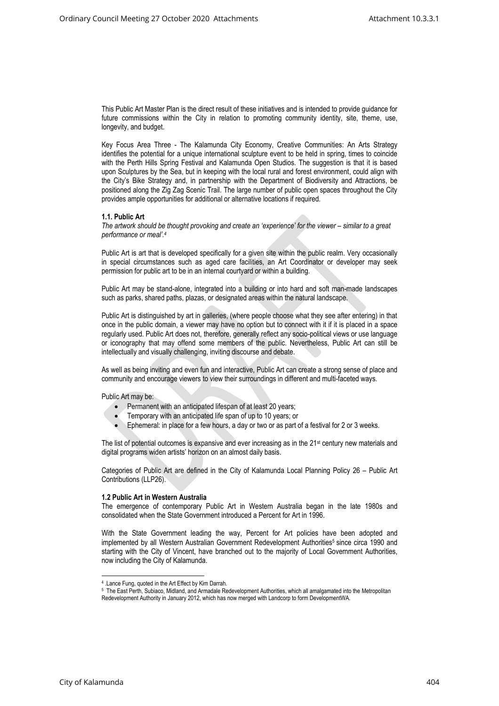This Public Art Master Plan is the direct result of these initiatives and is intended to provide guidance for future commissions within the City in relation to promoting community identity, site, theme, use, longevity, and budget.

Key Focus Area Three - The Kalamunda City Economy, Creative Communities: An Arts Strategy identifies the potential for a unique international sculpture event to be held in spring, times to coincide with the Perth Hills Spring Festival and Kalamunda Open Studios. The suggestion is that it is based upon Sculptures by the Sea, but in keeping with the local rural and forest environment, could align with the City's Bike Strategy and, in partnership with the Department of Biodiversity and Attractions, be positioned along the Zig Zag Scenic Trail. The large number of public open spaces throughout the City provides ample opportunities for additional or alternative locations if required.

#### **1.1. Public Art**

*The artwork should be thought provoking and create an 'experience' for the viewer – similar to a great performance or meal'.<sup>4</sup>*

Public Art is art that is developed specifically for a given site within the public realm. Very occasionally in special circumstances such as aged care facilities, an Art Coordinator or developer may seek permission for public art to be in an internal courtyard or within a building.

Public Art may be stand-alone, integrated into a building or into hard and soft man-made landscapes such as parks, shared paths, plazas, or designated areas within the natural landscape.

Public Art is distinguished by art in galleries, (where people choose what they see after entering) in that once in the public domain, a viewer may have no option but to connect with it if it is placed in a space regularly used. Public Art does not, therefore, generally reflect any socio-political views or use language or iconography that may offend some members of the public. Nevertheless, Public Art can still be intellectually and visually challenging, inviting discourse and debate.

As well as being inviting and even fun and interactive, Public Art can create a strong sense of place and community and encourage viewers to view their surroundings in different and multi-faceted ways.

Public Art may be:

- Permanent with an anticipated lifespan of at least 20 years;
- Temporary with an anticipated life span of up to 10 years; or
- Ephemeral: in place for a few hours, a day or two or as part of a festival for 2 or 3 weeks.

The list of potential outcomes is expansive and ever increasing as in the 21<sup>st</sup> century new materials and digital programs widen artists' horizon on an almost daily basis.

Categories of Public Art are defined in the City of Kalamunda Local Planning Policy 26 – Public Art Contributions (LLP26).

#### **1.2 Public Art in Western Australia**

The emergence of contemporary Public Art in Western Australia began in the late 1980s and consolidated when the State Government introduced a Percent for Art in 1996.

With the State Government leading the way, Percent for Art policies have been adopted and implemented by all Western Australian Government Redevelopment Authorities<sup>5</sup> since circa 1990 and starting with the City of Vincent, have branched out to the majority of Local Government Authorities, now including the City of Kalamunda.

<sup>4</sup> .Lance Fung, quoted in the Art Effect by Kim Darrah.

<sup>&</sup>lt;sup>5</sup> The East Perth, Subiaco, Midland, and Armadale Redevelopment Authorities, which all amalgamated into the Metropolitan Redevelopment Authority in January 2012, which has now merged with Landcorp to form DevelopmentWA.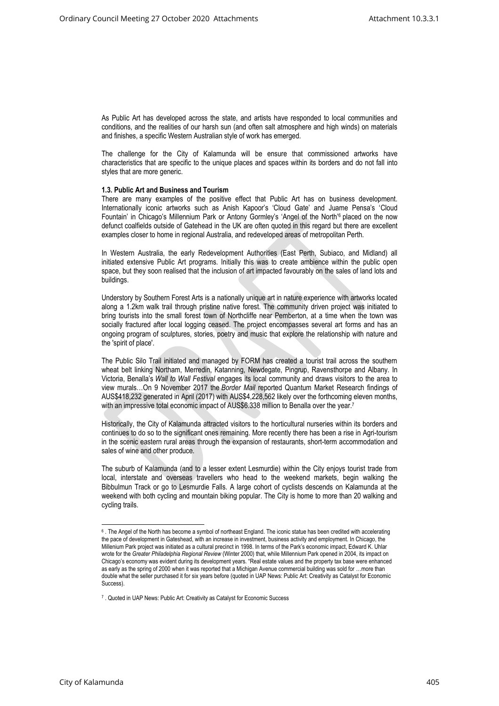As Public Art has developed across the state, and artists have responded to local communities and conditions, and the realities of our harsh sun (and often salt atmosphere and high winds) on materials and finishes, a specific Western Australian style of work has emerged.

The challenge for the City of Kalamunda will be ensure that commissioned artworks have characteristics that are specific to the unique places and spaces within its borders and do not fall into styles that are more generic.

#### **1.3. Public Art and Business and Tourism**

There are many examples of the positive effect that Public Art has on business development. Internationally iconic artworks such as Anish Kapoor's 'Cloud Gate' and Juame Pensa's 'Cloud Fountain' in Chicago's Millennium Park or Antony Gormley's 'Angel of the North'<sup>6</sup> placed on the now defunct coalfields outside of Gatehead in the UK are often quoted in this regard but there are excellent examples closer to home in regional Australia, and redeveloped areas of metropolitan Perth.

In Western Australia, the early Redevelopment Authorities (East Perth, Subiaco, and Midland) all initiated extensive Public Art programs. Initially this was to create ambience within the public open space, but they soon realised that the inclusion of art impacted favourably on the sales of land lots and buildings.

Understory by Southern Forest Arts is a nationally unique art in nature experience with artworks located along a 1.2km walk trail through pristine native forest. The community driven project was initiated to bring tourists into the small forest town of Northcliffe near Pemberton, at a time when the town was socially fractured after local logging ceased. The project encompasses several art forms and has an ongoing program of sculptures, stories, poetry and music that explore the relationship with nature and the 'spirit of place'.

The Public Silo Trail initiated and managed by FORM has created a tourist trail across the southern wheat belt linking Northam, Merredin, Katanning, Newdegate, Pingrup, Ravensthorpe and Albany. In Victoria, Benalla's *Wall to Wall Festival* engages its local community and draws visitors to the area to view murals…On 9 November 2017 the *Border Mail* reported Quantum Market Research findings of AUS\$418,232 generated in April (2017) with AUS\$4,228,562 likely over the forthcoming eleven months, with an impressive total economic impact of AUS\$6.338 million to Benalla over the year.<sup>7</sup>

Historically, the City of Kalamunda attracted visitors to the horticultural nurseries within its borders and continues to do so to the significant ones remaining. More recently there has been a rise in Agri-tourism in the scenic eastern rural areas through the expansion of restaurants, short-term accommodation and sales of wine and other produce.

The suburb of Kalamunda (and to a lesser extent Lesmurdie) within the City enjoys tourist trade from local, interstate and overseas travellers who head to the weekend markets, begin walking the Bibbulmun Track or go to Lesmurdie Falls. A large cohort of cyclists descends on Kalamunda at the weekend with both cycling and mountain biking popular. The City is home to more than 20 walking and cycling trails.

 $^6$  . The Angel of the North has become a symbol of northeast England. The iconic statue has been credited with accelerating the pace of development in Gateshead, with an increase in investment, business activity and employment. In Chicago, the Millenium Park project was initiated as a cultural precinct in 1998. In terms of the Park's economic impact, Edward K. Uhlar wrote for the *Greater Philadelphia Regional Review* (Winter 2000) that, while Millennium Park opened in 2004, its impact on Chicago's economy was evident during its development years. "Real estate values and the property tax base were enhanced as early as the spring of 2000 when it was reported that a Michigan Avenue commercial building was sold for …more than double what the seller purchased it for six years before (quoted in UAP News: Public Art: Creativity as Catalyst for Economic Success).

<sup>&</sup>lt;sup>7</sup> . Quoted in UAP News: Public Art: Creativity as Catalyst for Economic Success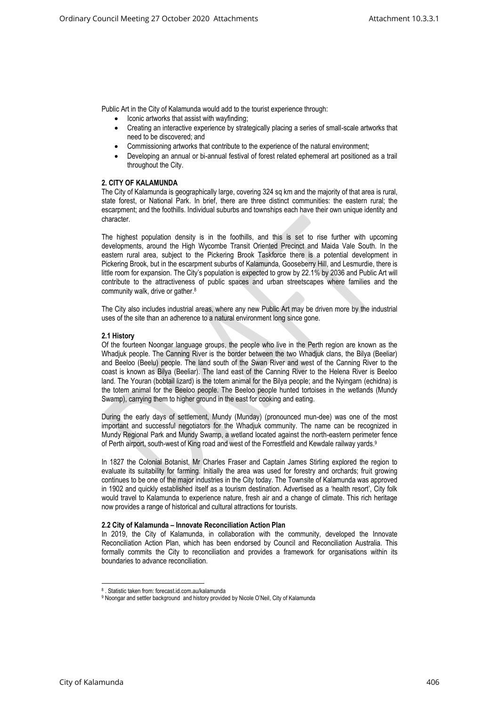Public Art in the City of Kalamunda would add to the tourist experience through:

- Iconic artworks that assist with wayfinding;
- Creating an interactive experience by strategically placing a series of small-scale artworks that need to be discovered; and
- Commissioning artworks that contribute to the experience of the natural environment;
- Developing an annual or bi-annual festival of forest related ephemeral art positioned as a trail throughout the City.

## **2. CITY OF KALAMUNDA**

The City of Kalamunda is geographically large, covering 324 sq km and the majority of that area is rural, state forest, or National Park. In brief, there are three distinct communities: the eastern rural; the escarpment; and the foothills. Individual suburbs and townships each have their own unique identity and character.

The highest population density is in the foothills, and this is set to rise further with upcoming developments, around the High Wycombe Transit Oriented Precinct and Maida Vale South. In the eastern rural area, subject to the Pickering Brook Taskforce there is a potential development in Pickering Brook, but in the escarpment suburbs of Kalamunda, Gooseberry Hill, and Lesmurdie, there is little room for expansion. The City's population is expected to grow by 22.1% by 2036 and Public Art will contribute to the attractiveness of public spaces and urban streetscapes where families and the community walk, drive or gather.<sup>8</sup>

The City also includes industrial areas, where any new Public Art may be driven more by the industrial uses of the site than an adherence to a natural environment long since gone.

#### **2.1 History**

Of the fourteen Noongar language groups, the people who live in the Perth region are known as the Whadjuk people. The Canning River is the border between the two Whadjuk clans, the Bilya (Beeliar) and Beeloo (Beelu) people. The land south of the Swan River and west of the Canning River to the coast is known as Bilya (Beeliar). The land east of the Canning River to the Helena River is Beeloo land. The Youran (bobtail lizard) is the totem animal for the Bilya people; and the Nyingarn (echidna) is the totem animal for the Beeloo people. The Beeloo people hunted tortoises in the wetlands (Mundy Swamp), carrying them to higher ground in the east for cooking and eating.

During the early days of settlement, Mundy (Munday) (pronounced mun-dee) was one of the most important and successful negotiators for the Whadjuk community. The name can be recognized in Mundy Regional Park and Mundy Swamp, a wetland located against the north-eastern perimeter fence of Perth airport, south-west of King road and west of the Forrestfield and Kewdale railway yards.<sup>9</sup>

In 1827 the Colonial Botanist, Mr Charles Fraser and Captain James Stirling explored the region to evaluate its suitability for farming. Initially the area was used for forestry and orchards; fruit growing continues to be one of the major industries in the City today. The Townsite of Kalamunda was approved in 1902 and quickly established itself as a tourism destination. Advertised as a 'health resort', City folk would travel to Kalamunda to experience nature, fresh air and a change of climate. This rich heritage now provides a range of historical and cultural attractions for tourists.

#### **2.2 City of Kalamunda – Innovate Reconciliation Action Plan**

In 2019, the City of Kalamunda, in collaboration with the community, developed the Innovate Reconciliation Action Plan, which has been endorsed by Council and Reconciliation Australia. This formally commits the City to reconciliation and provides a framework for organisations within its boundaries to advance reconciliation.

<sup>8</sup> . Statistic taken from: forecast.id.com.au/kalamunda

<sup>9</sup> Noongar and settler background and history provided by Nicole O'Neil, City of Kalamunda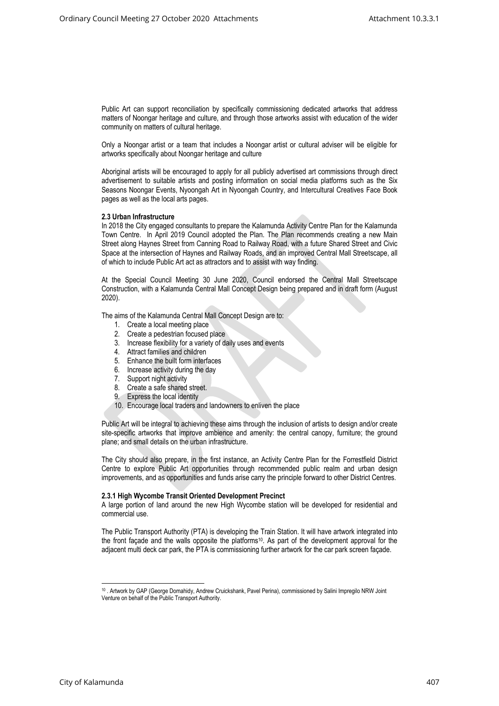Public Art can support reconciliation by specifically commissioning dedicated artworks that address matters of Noongar heritage and culture, and through those artworks assist with education of the wider community on matters of cultural heritage.

Only a Noongar artist or a team that includes a Noongar artist or cultural adviser will be eligible for artworks specifically about Noongar heritage and culture

Aboriginal artists will be encouraged to apply for all publicly advertised art commissions through direct advertisement to suitable artists and posting information on social media platforms such as the Six Seasons Noongar Events, Nyoongah Art in Nyoongah Country, and Intercultural Creatives Face Book pages as well as the local arts pages.

## **2.3 Urban Infrastructure**

In 2018 the City engaged consultants to prepare the Kalamunda Activity Centre Plan for the Kalamunda Town Centre. In April 2019 Council adopted the Plan. The Plan recommends creating a new Main Street along Haynes Street from Canning Road to Railway Road, with a future Shared Street and Civic Space at the intersection of Haynes and Railway Roads, and an improved Central Mall Streetscape, all of which to include Public Art act as attractors and to assist with way finding.

At the Special Council Meeting 30 June 2020, Council endorsed the Central Mall Streetscape Construction, with a Kalamunda Central Mall Concept Design being prepared and in draft form (August 2020).

The aims of the Kalamunda Central Mall Concept Design are to:

- 1. Create a local meeting place
- 2. Create a pedestrian focused place
- 3. Increase flexibility for a variety of daily uses and events
- 4. Attract families and children
- 5. Enhance the built form interfaces
- 6. Increase activity during the day
- 7. Support night activity
- 8. Create a safe shared street.
- 9. Express the local identity
- 10. Encourage local traders and landowners to enliven the place

Public Art will be integral to achieving these aims through the inclusion of artists to design and/or create site-specific artworks that improve ambience and amenity: the central canopy, furniture; the ground plane; and small details on the urban infrastructure.

The City should also prepare, in the first instance, an Activity Centre Plan for the Forrestfield District Centre to explore Public Art opportunities through recommended public realm and urban design improvements, and as opportunities and funds arise carry the principle forward to other District Centres.

#### **2.3.1 High Wycombe Transit Oriented Development Precinct**

A large portion of land around the new High Wycombe station will be developed for residential and commercial use.

The Public Transport Authority (PTA) is developing the Train Station. It will have artwork integrated into the front façade and the walls opposite the platforms<sup>10</sup>. As part of the development approval for the adjacent multi deck car park, the PTA is commissioning further artwork for the car park screen façade.

<sup>10</sup> . Artwork by GAP (George Domahidy, Andrew Cruickshank, Pavel Perina), commissioned by Salini Impregilo NRW Joint Venture on behalf of the Public Transport Authority.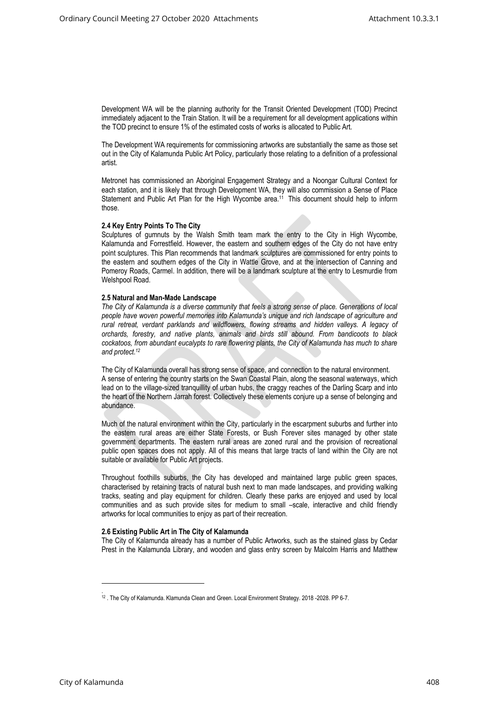Development WA will be the planning authority for the Transit Oriented Development (TOD) Precinct immediately adjacent to the Train Station. It will be a requirement for all development applications within the TOD precinct to ensure 1% of the estimated costs of works is allocated to Public Art.

The Development WA requirements for commissioning artworks are substantially the same as those set out in the City of Kalamunda Public Art Policy, particularly those relating to a definition of a professional artist.

Metronet has commissioned an Aboriginal Engagement Strategy and a Noongar Cultural Context for each station, and it is likely that through Development WA, they will also commission a Sense of Place Statement and Public Art Plan for the High Wycombe area.<sup>11</sup> This document should help to inform those.

#### **2.4 Key Entry Points To The City**

Sculptures of gumnuts by the Walsh Smith team mark the entry to the City in High Wycombe, Kalamunda and Forrestfield. However, the eastern and southern edges of the City do not have entry point sculptures. This Plan recommends that landmark sculptures are commissioned for entry points to the eastern and southern edges of the City in Wattle Grove, and at the intersection of Canning and Pomeroy Roads, Carmel. In addition, there will be a landmark sculpture at the entry to Lesmurdie from Welshpool Road.

#### **2.5 Natural and Man-Made Landscape**

*The City of Kalamunda is a diverse community that feels a strong sense of place. Generations of local people have woven powerful memories into Kalamunda's unique and rich landscape of agriculture and rural retreat, verdant parklands and wildflowers, flowing streams and hidden valleys. A legacy of orchards, forestry, and native plants, animals and birds still abound. From bandicoots to black cockatoos, from abundant eucalypts to rare flowering plants, the City of Kalamunda has much to share and protect.<sup>12</sup>*

The City of Kalamunda overall has strong sense of space, and connection to the natural environment. A sense of entering the country starts on the Swan Coastal Plain, along the seasonal waterways, which lead on to the village-sized tranquillity of urban hubs, the craggy reaches of the Darling Scarp and into the heart of the Northern Jarrah forest. Collectively these elements conjure up a sense of belonging and abundance.

Much of the natural environment within the City, particularly in the escarpment suburbs and further into the eastern rural areas are either State Forests, or Bush Forever sites managed by other state government departments. The eastern rural areas are zoned rural and the provision of recreational public open spaces does not apply. All of this means that large tracts of land within the City are not suitable or available for Public Art projects.

Throughout foothills suburbs, the City has developed and maintained large public green spaces, characterised by retaining tracts of natural bush next to man made landscapes, and providing walking tracks, seating and play equipment for children. Clearly these parks are enjoyed and used by local communities and as such provide sites for medium to small –scale, interactive and child friendly artworks for local communities to enjoy as part of their recreation.

#### **2.6 Existing Public Art in The City of Kalamunda**

The City of Kalamunda already has a number of Public Artworks, such as the stained glass by Cedar Prest in the Kalamunda Library, and wooden and glass entry screen by Malcolm Harris and Matthew

<sup>.</sup> <sup>12</sup> . The City of Kalamunda. Klamunda Clean and Green. Local Environment Strategy. 2018 -2028. PP 6-7.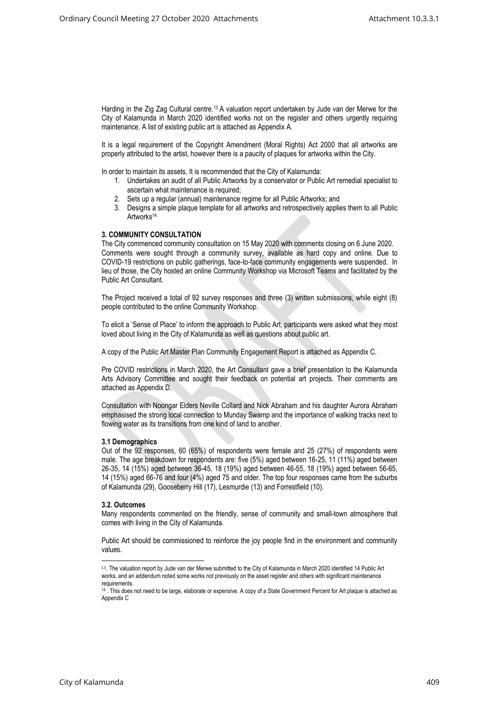Harding in the Zig Zag Cultural centre.<sup>13</sup> A valuation report undertaken by Jude van der Merwe for the City of Kalamunda in March 2020 identified works not on the register and others urgently requiring maintenance. A list of existing public art is attached as Appendix A.

It is a legal requirement of the Copyright Amendment (Moral Rights) Act 2000 that all artworks are properly attributed to the artist, however there is a paucity of plaques for artworks within the City.

In order to maintain its assets, It is recommended that the City of Kalamunda:

- 1. Undertakes an audit of all Public Artworks by a conservator or Public Art remedial specialist to ascertain what maintenance is required;
- 2. Sets up a regular (annual) maintenance regime for all Public Artworks; and
- 3. Designs a simple plaque template for all artworks and retrospectively applies them to all Public Artworks<sup>14</sup>

## **3. COMMUNITY CONSULTATION**

The City commenced community consultation on 15 May 2020 with comments closing on 6 June 2020. Comments were sought through a community survey, available as hard copy and online. Due to COVID-19 restrictions on public gatherings, face-to-face community engagements were suspended. In lieu of those, the City hosted an online Community Workshop via Microsoft Teams and facilitated by the Public Art Consultant.

The Project received a total of 92 survey responses and three (3) written submissions, while eight (8) people contributed to the online Community Workshop.

To elicit a 'Sense of Place' to inform the approach to Public Art, participants were asked what they most loved about living in the City of Kalamunda as well as questions about public art.

A copy of the Public Art Master Plan Community Engagement Report is attached as Appendix C.

Pre COVID restrictions in March 2020, the Art Consultant gave a brief presentation to the Kalamunda Arts Advisory Committee and sought their feedback on potential art projects. Their comments are attached as Appendix D.

Consultation with Noongar Elders Neville Collard and Nick Abraham and his daughter Aurora Abraham emphasised the strong local connection to Munday Swamp and the importance of walking tracks next to flowing water as its transitions from one kind of land to another.

#### **3.1 Demographics**

Out of the 92 responses, 60 (65%) of respondents were female and 25 (27%) of respondents were male. The age breakdown for respondents are: five (5%) aged between 16-25, 11 (11%) aged between 26-35, 14 (15%) aged between 36-45, 18 (19%) aged between 46-55, 18 (19%) aged between 56-65, 14 (15%) aged 66-76 and four (4%) aged 75 and older. The top four responses came from the suburbs of Kalamunda (29), Gooseberry Hill (17), Lesmurdie (13) and Forrestfield (10).

#### **3.2. Outcomes**

Many respondents commented on the friendly, sense of community and small-town atmosphere that comes with living in the City of Kalamunda.

Public Art should be commissioned to reinforce the joy people find in the environment and community values.

<sup>13</sup>. The valuation report by Jude van der Merwe submitted to the City of Kalamunda in March 2020 identified 14 Public Art works, and an addendum noted some works not previously on the asset register and others with significant maintenance requirements.

<sup>&</sup>lt;sup>14</sup> . This does not need to be large, elaborate or expensive. A copy of a State Government Percent for Art plaque is attached as Appendix C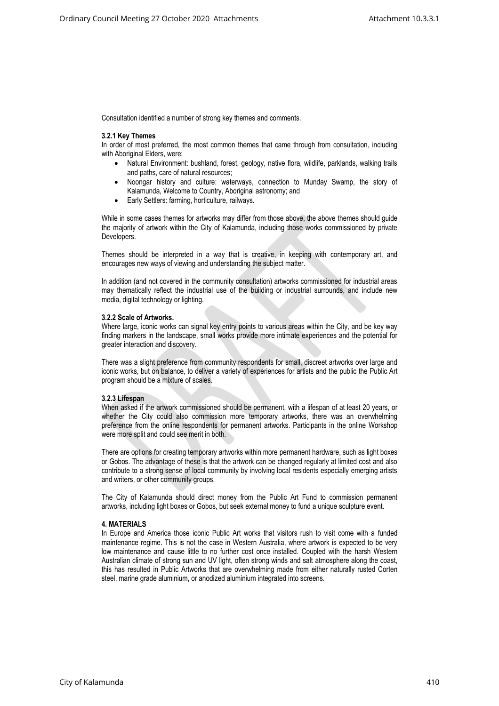Consultation identified a number of strong key themes and comments.

### **3.2.1 Key Themes**

In order of most preferred, the most common themes that came through from consultation, including with Aboriginal Elders, were:

- Natural Environment: bushland, forest, geology, native flora, wildlife, parklands, walking trails and paths, care of natural resources;
- Noongar history and culture: waterways, connection to Munday Swamp, the story of Kalamunda, Welcome to Country, Aboriginal astronomy; and
- Early Settlers: farming, horticulture, railways.

While in some cases themes for artworks may differ from those above, the above themes should guide the majority of artwork within the City of Kalamunda, including those works commissioned by private Developers.

Themes should be interpreted in a way that is creative, in keeping with contemporary art, and encourages new ways of viewing and understanding the subject matter.

In addition (and not covered in the community consultation) artworks commissioned for industrial areas may thematically reflect the industrial use of the building or industrial surrounds, and include new media, digital technology or lighting.

#### **3.2.2 Scale of Artworks.**

Where large, iconic works can signal key entry points to various areas within the City, and be key way finding markers in the landscape, small works provide more intimate experiences and the potential for greater interaction and discovery.

There was a slight preference from community respondents for small, discreet artworks over large and iconic works, but on balance, to deliver a variety of experiences for artists and the public the Public Art program should be a mixture of scales.

### **3.2.3 Lifespan**

When asked if the artwork commissioned should be permanent, with a lifespan of at least 20 years, or whether the City could also commission more temporary artworks, there was an overwhelming preference from the online respondents for permanent artworks. Participants in the online Workshop were more split and could see merit in both.

There are options for creating temporary artworks within more permanent hardware, such as light boxes or Gobos. The advantage of these is that the artwork can be changed regularly at limited cost and also contribute to a strong sense of local community by involving local residents especially emerging artists and writers, or other community groups.

The City of Kalamunda should direct money from the Public Art Fund to commission permanent artworks, including light boxes or Gobos, but seek external money to fund a unique sculpture event.

## **4. MATERIALS**

In Europe and America those iconic Public Art works that visitors rush to visit come with a funded maintenance regime. This is not the case in Western Australia, where artwork is expected to be very low maintenance and cause little to no further cost once installed. Coupled with the harsh Western Australian climate of strong sun and UV light, often strong winds and salt atmosphere along the coast, this has resulted in Public Artworks that are overwhelming made from either naturally rusted Corten steel, marine grade aluminium, or anodized aluminium integrated into screens.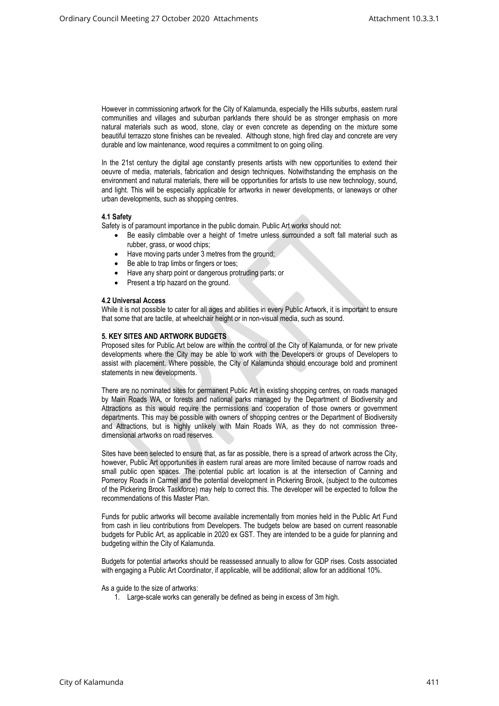However in commissioning artwork for the City of Kalamunda, especially the Hills suburbs, eastern rural communities and villages and suburban parklands there should be as stronger emphasis on more natural materials such as wood, stone, clay or even concrete as depending on the mixture some beautiful terrazzo stone finishes can be revealed. Although stone, high fired clay and concrete are very durable and low maintenance, wood requires a commitment to on going oiling.

In the 21st century the digital age constantly presents artists with new opportunities to extend their oeuvre of media, materials, fabrication and design techniques. Notwithstanding the emphasis on the environment and natural materials, there will be opportunities for artists to use new technology, sound, and light. This will be especially applicable for artworks in newer developments, or laneways or other urban developments, such as shopping centres.

## **4.1 Safety**

Safety is of paramount importance in the public domain. Public Art works should not:

- Be easily climbable over a height of 1metre unless surrounded a soft fall material such as rubber, grass, or wood chips;
- Have moving parts under 3 metres from the ground;
- Be able to trap limbs or fingers or toes:
- Have any sharp point or dangerous protruding parts; or
- Present a trip hazard on the ground.

#### **4.2 Universal Access**

While it is not possible to cater for all ages and abilities in every Public Artwork, it is important to ensure that some that are tactile, at wheelchair height or in non-visual media, such as sound.

## **5. KEY SITES AND ARTWORK BUDGETS**

Proposed sites for Public Art below are within the control of the City of Kalamunda, or for new private developments where the City may be able to work with the Developers or groups of Developers to assist with placement. Where possible, the City of Kalamunda should encourage bold and prominent statements in new developments.

There are no nominated sites for permanent Public Art in existing shopping centres, on roads managed by Main Roads WA, or forests and national parks managed by the Department of Biodiversity and Attractions as this would require the permissions and cooperation of those owners or government departments. This may be possible with owners of shopping centres or the Department of Biodiversity and Attractions, but is highly unlikely with Main Roads WA, as they do not commission threedimensional artworks on road reserves.

Sites have been selected to ensure that, as far as possible, there is a spread of artwork across the City, however, Public Art opportunities in eastern rural areas are more limited because of narrow roads and small public open spaces. The potential public art location is at the intersection of Canning and Pomeroy Roads in Carmel and the potential development in Pickering Brook, (subject to the outcomes of the Pickering Brook Taskforce) may help to correct this. The developer will be expected to follow the recommendations of this Master Plan.

Funds for public artworks will become available incrementally from monies held in the Public Art Fund from cash in lieu contributions from Developers. The budgets below are based on current reasonable budgets for Public Art, as applicable in 2020 ex GST. They are intended to be a guide for planning and budgeting within the City of Kalamunda.

Budgets for potential artworks should be reassessed annually to allow for GDP rises. Costs associated with engaging a Public Art Coordinator, if applicable, will be additional; allow for an additional 10%.

#### As a guide to the size of artworks:

1. Large-scale works can generally be defined as being in excess of 3m high.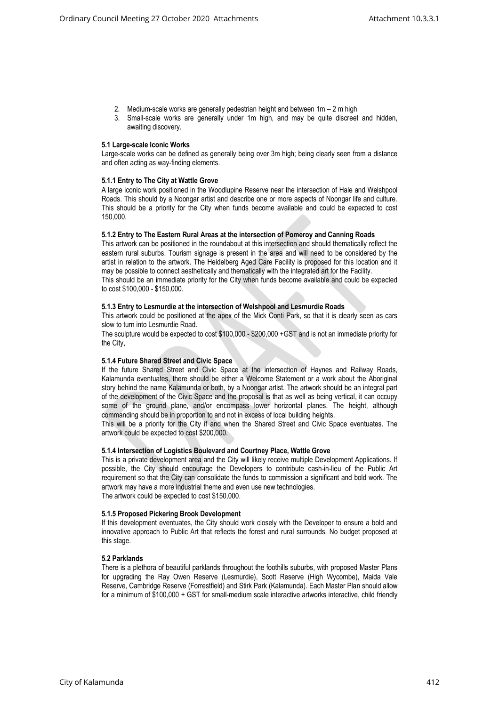- 2. Medium-scale works are generally pedestrian height and between 1m 2 m high
- 3. Small-scale works are generally under 1m high, and may be quite discreet and hidden, awaiting discovery.

### **5.1 Large-scale Iconic Works**

Large-scale works can be defined as generally being over 3m high; being clearly seen from a distance and often acting as way-finding elements.

## **5.1.1 Entry to The City at Wattle Grove**

A large iconic work positioned in the Woodlupine Reserve near the intersection of Hale and Welshpool Roads. This should by a Noongar artist and describe one or more aspects of Noongar life and culture. This should be a priority for the City when funds become available and could be expected to cost 150,000.

#### **5.1.2 Entry to The Eastern Rural Areas at the intersection of Pomeroy and Canning Roads**

This artwork can be positioned in the roundabout at this intersection and should thematically reflect the eastern rural suburbs. Tourism signage is present in the area and will need to be considered by the artist in relation to the artwork. The Heidelberg Aged Care Facility is proposed for this location and it may be possible to connect aesthetically and thematically with the integrated art for the Facility. This should be an immediate priority for the City when funds become available and could be expected to cost \$100,000 - \$150,000.

## **5.1.3 Entry to Lesmurdie at the intersection of Welshpool and Lesmurdie Roads**

This artwork could be positioned at the apex of the Mick Conti Park, so that it is clearly seen as cars slow to turn into Lesmurdie Road.

The sculpture would be expected to cost \$100,000 - \$200,000 +GST and is not an immediate priority for the City,

## **5.1.4 Future Shared Street and Civic Space**

If the future Shared Street and Civic Space at the intersection of Haynes and Railway Roads, Kalamunda eventuates, there should be either a Welcome Statement or a work about the Aboriginal story behind the name Kalamunda or both, by a Noongar artist. The artwork should be an integral part of the development of the Civic Space and the proposal is that as well as being vertical, it can occupy some of the ground plane, and/or encompass lower horizontal planes. The height, although commanding should be in proportion to and not in excess of local building heights.

This will be a priority for the City if and when the Shared Street and Civic Space eventuates. The artwork could be expected to cost \$200,000.

#### **5.1.4 Intersection of Logistics Boulevard and Courtney Place, Wattle Grove**

This is a private development area and the City will likely receive multiple Development Applications. If possible, the City should encourage the Developers to contribute cash-in-lieu of the Public Art requirement so that the City can consolidate the funds to commission a significant and bold work. The artwork may have a more industrial theme and even use new technologies. The artwork could be expected to cost \$150,000.

### **5.1.5 Proposed Pickering Brook Development**

If this development eventuates, the City should work closely with the Developer to ensure a bold and innovative approach to Public Art that reflects the forest and rural surrounds. No budget proposed at this stage.

## **5.2 Parklands**

There is a plethora of beautiful parklands throughout the foothills suburbs, with proposed Master Plans for upgrading the Ray Owen Reserve (Lesmurdie), Scott Reserve (High Wycombe), Maida Vale Reserve, Cambridge Reserve (Forrestfield) and Stirk Park (Kalamunda). Each Master Plan should allow for a minimum of \$100,000 + GST for small-medium scale interactive artworks interactive, child friendly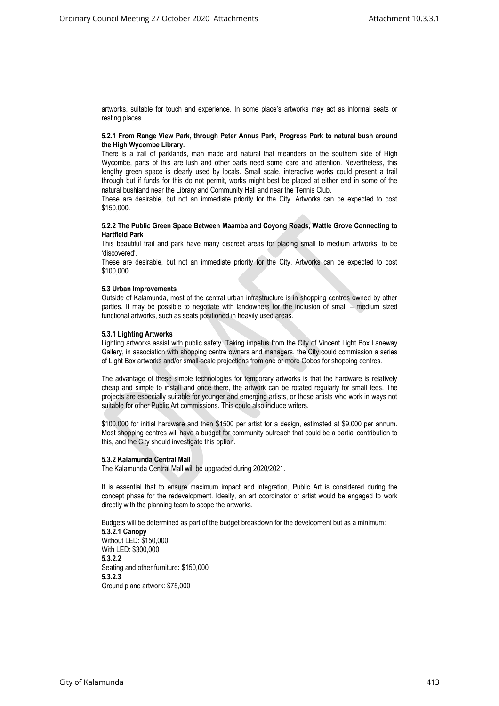artworks, suitable for touch and experience. In some place's artworks may act as informal seats or resting places.

#### **5.2.1 From Range View Park, through Peter Annus Park, Progress Park to natural bush around the High Wycombe Library.**

There is a trail of parklands, man made and natural that meanders on the southern side of High Wycombe, parts of this are lush and other parts need some care and attention. Nevertheless, this lengthy green space is clearly used by locals. Small scale, interactive works could present a trail through but if funds for this do not permit, works might best be placed at either end in some of the natural bushland near the Library and Community Hall and near the Tennis Club.

These are desirable, but not an immediate priority for the City. Artworks can be expected to cost \$150,000.

#### **5.2.2 The Public Green Space Between Maamba and Coyong Roads, Wattle Grove Connecting to Hartfield Park**

This beautiful trail and park have many discreet areas for placing small to medium artworks, to be 'discovered'.

These are desirable, but not an immediate priority for the City. Artworks can be expected to cost \$100,000.

#### **5.3 Urban Improvements**

Outside of Kalamunda, most of the central urban infrastructure is in shopping centres owned by other parties. It may be possible to negotiate with landowners for the inclusion of small – medium sized functional artworks, such as seats positioned in heavily used areas.

#### **5.3.1 Lighting Artworks**

Lighting artworks assist with public safety. Taking impetus from the City of Vincent Light Box Laneway Gallery, in association with shopping centre owners and managers, the City could commission a series of Light Box artworks and/or small-scale projections from one or more Gobos for shopping centres.

The advantage of these simple technologies for temporary artworks is that the hardware is relatively cheap and simple to install and once there, the artwork can be rotated regularly for small fees. The projects are especially suitable for younger and emerging artists, or those artists who work in ways not suitable for other Public Art commissions. This could also include writers.

\$100,000 for initial hardware and then \$1500 per artist for a design, estimated at \$9,000 per annum. Most shopping centres will have a budget for community outreach that could be a partial contribution to this, and the City should investigate this option.

#### **5.3.2 Kalamunda Central Mall**

The Kalamunda Central Mall will be upgraded during 2020/2021.

It is essential that to ensure maximum impact and integration, Public Art is considered during the concept phase for the redevelopment. Ideally, an art coordinator or artist would be engaged to work directly with the planning team to scope the artworks.

Budgets will be determined as part of the budget breakdown for the development but as a minimum: **5.3.2.1 Canopy** Without LED: \$150,000 With LED: \$300,000 **5.3.2.2** Seating and other furniture**:** \$150,000 **5.3.2.3** Ground plane artwork: \$75,000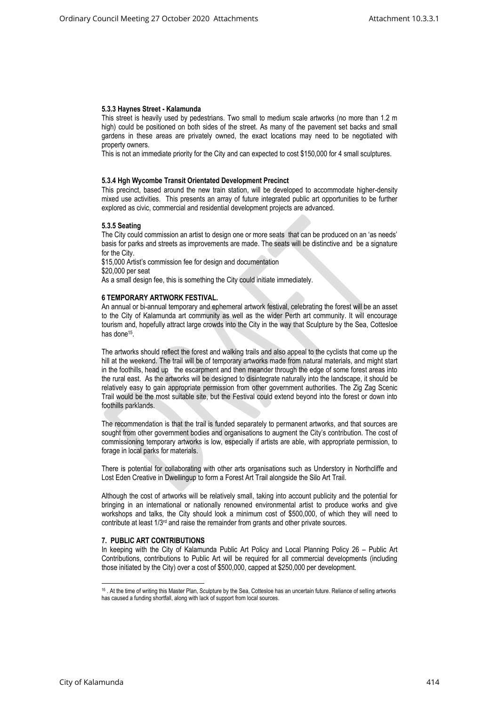## **5.3.3 Haynes Street - Kalamunda**

This street is heavily used by pedestrians. Two small to medium scale artworks (no more than 1.2 m high) could be positioned on both sides of the street. As many of the pavement set backs and small gardens in these areas are privately owned, the exact locations may need to be negotiated with property owners.

This is not an immediate priority for the City and can expected to cost \$150,000 for 4 small sculptures.

## **5.3.4 Hgh Wycombe Transit Orientated Development Precinct**

This precinct, based around the new train station, will be developed to accommodate higher-density mixed use activities. This presents an array of future integrated public art opportunities to be further explored as civic, commercial and residential development projects are advanced.

## **5.3.5 Seating**

The City could commission an artist to design one or more seats that can be produced on an 'as needs' basis for parks and streets as improvements are made. The seats will be distinctive and be a signature for the City.

\$15,000 Artist's commission fee for design and documentation \$20,000 per seat

As a small design fee, this is something the City could initiate immediately.

#### **6 TEMPORARY ARTWORK FESTIVAL.**

An annual or bi-annual temporary and ephemeral artwork festival, celebrating the forest will be an asset to the City of Kalamunda art community as well as the wider Perth art community. It will encourage tourism and, hopefully attract large crowds into the City in the way that Sculpture by the Sea, Cottesloe has done<sup>15</sup>.

The artworks should reflect the forest and walking trails and also appeal to the cyclists that come up the hill at the weekend. The trail will be of temporary artworks made from natural materials, and might start in the foothills, head up the escarpment and then meander through the edge of some forest areas into the rural east. As the artworks will be designed to disintegrate naturally into the landscape, it should be relatively easy to gain appropriate permission from other government authorities. The Zig Zag Scenic Trail would be the most suitable site, but the Festival could extend beyond into the forest or down into foothills parklands.

The recommendation is that the trail is funded separately to permanent artworks, and that sources are sought from other government bodies and organisations to augment the City's contribution. The cost of commissioning temporary artworks is low, especially if artists are able, with appropriate permission, to forage in local parks for materials.

There is potential for collaborating with other arts organisations such as Understory in Northcliffe and Lost Eden Creative in Dwellingup to form a Forest Art Trail alongside the Silo Art Trail.

Although the cost of artworks will be relatively small, taking into account publicity and the potential for bringing in an international or nationally renowned environmental artist to produce works and give workshops and talks, the City should look a minimum cost of \$500,000, of which they will need to contribute at least 1/3<sup>rd</sup> and raise the remainder from grants and other private sources.

## **7. PUBLIC ART CONTRIBUTIONS**

In keeping with the City of Kalamunda Public Art Policy and Local Planning Policy 26 – Public Art Contributions, contributions to Public Art will be required for all commercial developments (including those initiated by the City) over a cost of \$500,000, capped at \$250,000 per development.

<sup>15</sup> . At the time of writing this Master Plan, Sculpture by the Sea, Cottesloe has an uncertain future. Reliance of selling artworks has caused a funding shortfall, along with lack of support from local sources.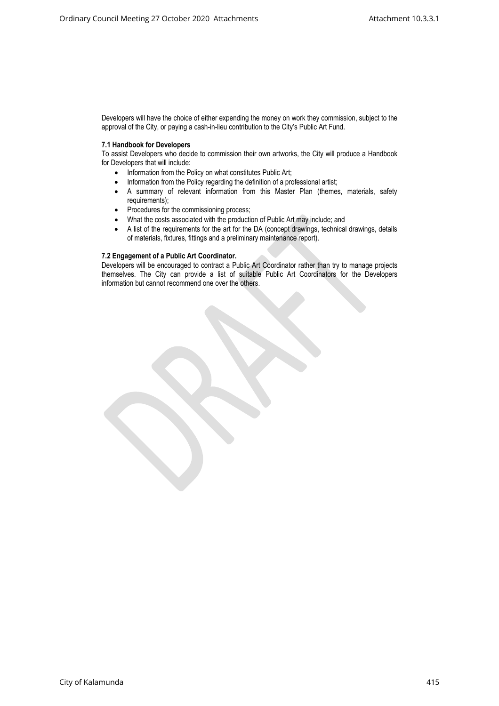Developers will have the choice of either expending the money on work they commission, subject to the approval of the City, or paying a cash-in-lieu contribution to the City's Public Art Fund.

## **7.1 Handbook for Developers**

To assist Developers who decide to commission their own artworks, the City will produce a Handbook for Developers that will include:

- Information from the Policy on what constitutes Public Art;
- Information from the Policy regarding the definition of a professional artist;
- A summary of relevant information from this Master Plan (themes, materials, safety requirements);
- Procedures for the commissioning process;
- What the costs associated with the production of Public Art may include; and
- A list of the requirements for the art for the DA (concept drawings, technical drawings, details of materials, fixtures, fittings and a preliminary maintenance report).

## **7.2 Engagement of a Public Art Coordinator.**

Developers will be encouraged to contract a Public Art Coordinator rather than try to manage projects themselves. The City can provide a list of suitable Public Art Coordinators for the Developers information but cannot recommend one over the others.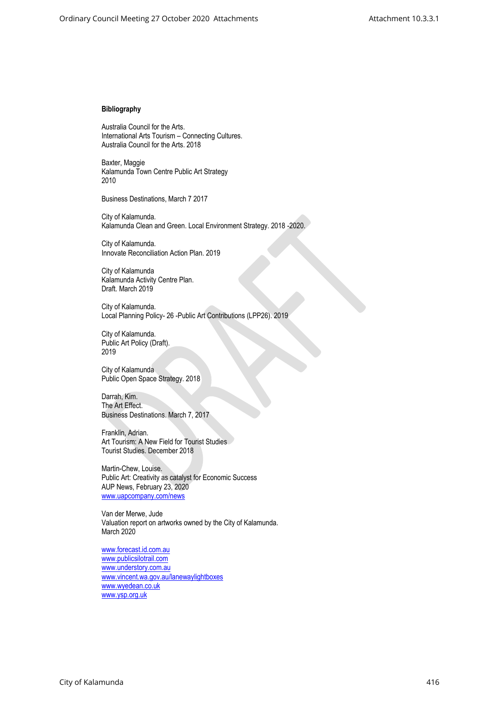## **Bibliography**

Australia Council for the Arts. International Arts Tourism – Connecting Cultures. Australia Council for the Arts. 2018

Baxter, Maggie Kalamunda Town Centre Public Art Strategy 2010

Business Destinations, March 7 2017

City of Kalamunda. Kalamunda Clean and Green. Local Environment Strategy. 2018 -2020.

City of Kalamunda. Innovate Reconciliation Action Plan. 2019

City of Kalamunda Kalamunda Activity Centre Plan. Draft. March 2019

City of Kalamunda. Local Planning Policy- 26 -Public Art Contributions (LPP26). 2019

City of Kalamunda. Public Art Policy (Draft). 2019

City of Kalamunda Public Open Space Strategy. 2018

Darrah, Kim. The Art Effect. Business Destinations. March 7, 2017

Franklin, Adrian. Art Tourism: A New Field for Tourist Studies Tourist Studies. December 2018

Martin-Chew, Louise. Public Art: Creativity as catalyst for Economic Success AUP News, February 23, 2020 [www.uapcompany.com/news](http://www.uapcompany.com/news)

Van der Merwe, Jude Valuation report on artworks owned by the City of Kalamunda. March 2020

[www.forecast.id.com.au](http://www.forecast.id.com.au/) [www.publicsilotrail.com](http://www.publicsilotrail.com/) [www.understory.com.au](http://www.understory.com.au/) [www.vincent.wa.gov.au/lanewaylightboxes](http://www.vincent.wa.gov.au/lanewaylightboxes) [www.wyedean.co.uk](http://www.wyedean.co.uk/) [www.ysp.org.uk](http://www.ysp.org.uk/)